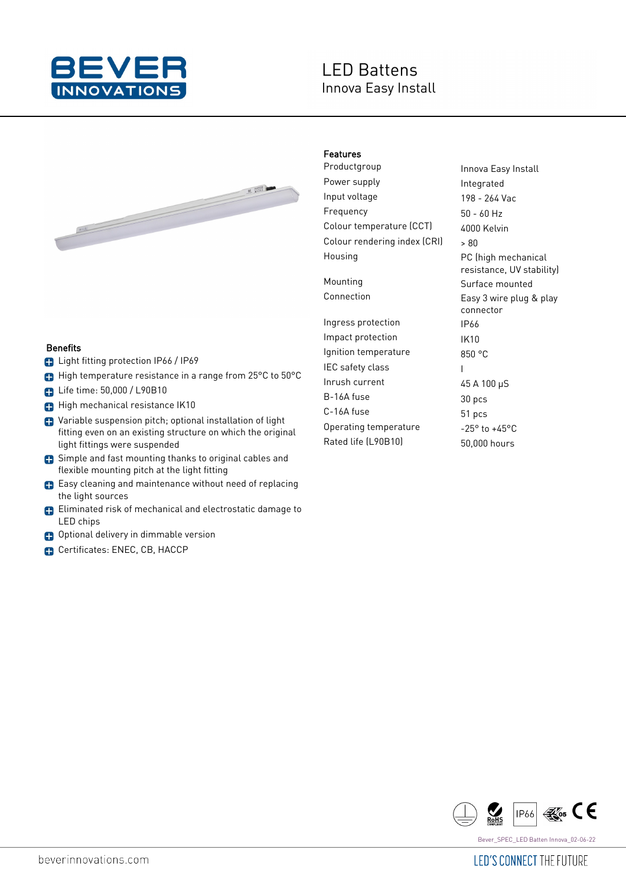

# **LED Battens** Innova Easy Install



#### Benefits

- **B** Light fitting protection IP66 / IP69
- High temperature resistance in a range from 25°C to 50°C
- **D** Life time: 50,000 / L90B10
- High mechanical resistance IK10
- Variable suspension pitch; optional installation of light fitting even on an existing structure on which the original light fittings were suspended
- **C** Simple and fast mounting thanks to original cables and flexible mounting pitch at the light fitting
- Easy cleaning and maintenance without need of replacing the light sources
- Eliminated risk of mechanical and electrostatic damage to LED chips
- **C** Optional delivery in dimmable version
- Certificates: ENEC, CB, HACCP

## Features

Productgroup **Innova Easy Install** Power supply **Integrated** Input voltage 198 - 264 Vac Frequency 50 - 60 Hz Colour temperature (CCT) 4000 Kelvin Colour rendering index  $|CR|$   $\rightarrow$   $80$ Housing **PC** (high mechanical

Ingress protection IP66 Impact protection IK10 Ignition temperature 850 °C IEC safety class Theory Inrush current 45 A 100 µS B-16A fuse 30 pcs C-16A fuse 51 pcs Operating temperature -25° to +45°C Rated life (L90B10) 50,000 hours

resistance, UV stability) Mounting **Surface mounted** Connection Easy 3 wire plug & play connector

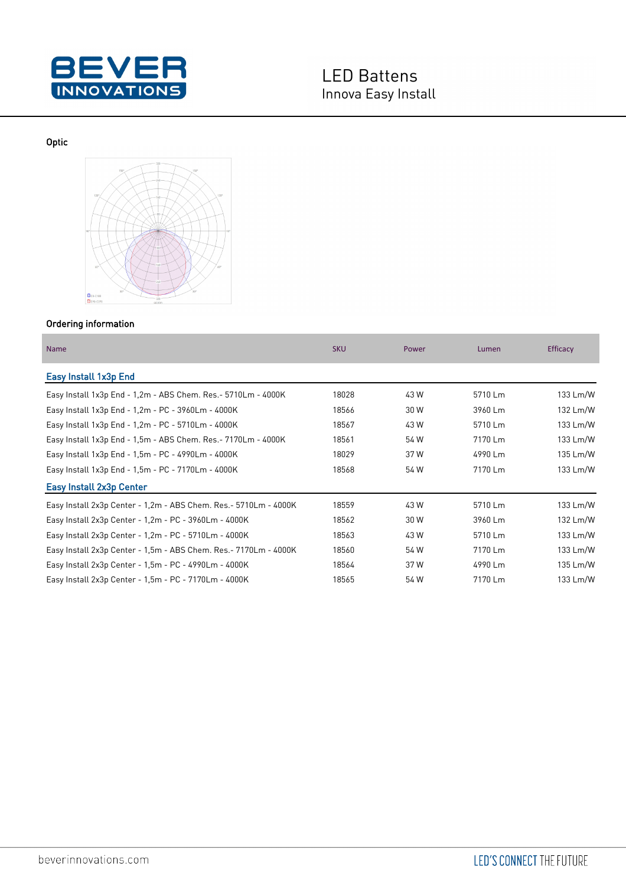

Optic



## Ordering information

| <b>Name</b>                                                       | <b>SKU</b> | Power | Lumen   | Efficacy |
|-------------------------------------------------------------------|------------|-------|---------|----------|
| Easy Install 1x3p End                                             |            |       |         |          |
| Easy Install 1x3p End - 1,2m - ABS Chem. Res. - 5710Lm - 4000K    | 18028      | 43 W  | 5710 Lm | 133 Lm/W |
| Easy Install 1x3p End - 1,2m - PC - 3960Lm - 4000K                | 18566      | 30 W  | 3960 Lm | 132 Lm/W |
| Easy Install 1x3p End - 1,2m - PC - 5710Lm - 4000K                | 18567      | 43 W  | 5710 Lm | 133 Lm/W |
| Easy Install 1x3p End - 1,5m - ABS Chem. Res. - 7170Lm - 4000K    | 18561      | 54 W  | 7170 Lm | 133 Lm/W |
| Easy Install 1x3p End - 1.5m - PC - 4990Lm - 4000K                | 18029      | 37 W  | 4990 Lm | 135 Lm/W |
| Easy Install 1x3p End - 1,5m - PC - 7170Lm - 4000K                | 18568      | 54 W  | 7170 Lm | 133 Lm/W |
| Easy Install 2x3p Center                                          |            |       |         |          |
| Easy Install 2x3p Center - 1,2m - ABS Chem. Res. - 5710Lm - 4000K | 18559      | 43 W  | 5710 Lm | 133 Lm/W |
| Easy Install 2x3p Center - 1,2m - PC - 3960Lm - 4000K             | 18562      | 30 W  | 3960 Lm | 132 Lm/W |
| Easy Install 2x3p Center - 1,2m - PC - 5710Lm - 4000K             | 18563      | 43 W  | 5710 Lm | 133 Lm/W |
| Easy Install 2x3p Center - 1,5m - ABS Chem. Res. - 7170Lm - 4000K | 18560      | 54 W  | 7170 Lm | 133 Lm/W |
| Easy Install 2x3p Center - 1,5m - PC - 4990Lm - 4000K             | 18564      | 37 W  | 4990 Lm | 135 Lm/W |
| Easy Install 2x3p Center - 1,5m - PC - 7170Lm - 4000K             | 18565      | 54 W  | 7170 Lm | 133 Lm/W |